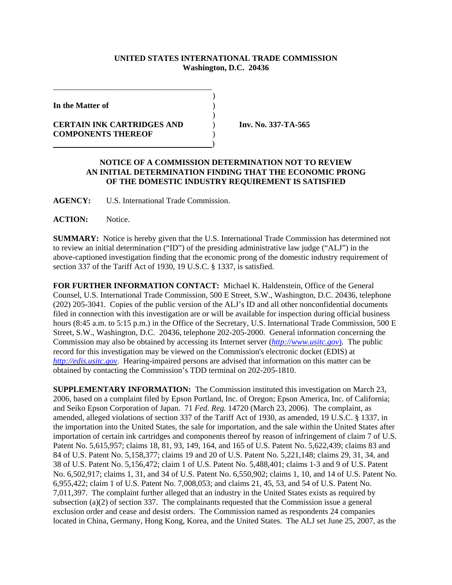## **UNITED STATES INTERNATIONAL TRADE COMMISSION Washington, D.C. 20436**

)

)

**In the Matter of** )

**CERTAIN INK CARTRIDGES AND** ) **Inv. No. 337-TA-565 COMPONENTS THEREOF** )

\_\_\_\_\_\_\_\_\_\_\_\_\_\_\_\_\_\_\_\_\_\_\_\_\_\_\_\_\_\_\_\_\_\_\_\_\_\_\_

)

## **NOTICE OF A COMMISSION DETERMINATION NOT TO REVIEW AN INITIAL DETERMINATION FINDING THAT THE ECONOMIC PRONG OF THE DOMESTIC INDUSTRY REQUIREMENT IS SATISFIED**

**AGENCY:** U.S. International Trade Commission.

**ACTION:** Notice.

**SUMMARY:** Notice is hereby given that the U.S. International Trade Commission has determined not to review an initial determination ("ID") of the presiding administrative law judge ("ALJ") in the above-captioned investigation finding that the economic prong of the domestic industry requirement of section 337 of the Tariff Act of 1930, 19 U.S.C. § 1337, is satisfied.

**FOR FURTHER INFORMATION CONTACT:** Michael K. Haldenstein, Office of the General Counsel, U.S. International Trade Commission, 500 E Street, S.W., Washington, D.C. 20436, telephone (202) 205-3041. Copies of the public version of the ALJ's ID and all other nonconfidential documents filed in connection with this investigation are or will be available for inspection during official business hours (8:45 a.m. to 5:15 p.m.) in the Office of the Secretary, U.S. International Trade Commission, 500 E Street, S.W., Washington, D.C. 20436, telephone 202-205-2000. General information concerning the Commission may also be obtained by accessing its Internet server (*http://www.usitc.gov*). The public record for this investigation may be viewed on the Commission's electronic docket (EDIS) at *http://edis.usitc.gov*. Hearing-impaired persons are advised that information on this matter can be obtained by contacting the Commission's TDD terminal on 202-205-1810.

**SUPPLEMENTARY INFORMATION:** The Commission instituted this investigation on March 23, 2006, based on a complaint filed by Epson Portland, Inc. of Oregon; Epson America, Inc. of California; and Seiko Epson Corporation of Japan. 71 *Fed. Reg.* 14720 (March 23, 2006). The complaint, as amended, alleged violations of section 337 of the Tariff Act of 1930, as amended, 19 U.S.C. § 1337, in the importation into the United States, the sale for importation, and the sale within the United States after importation of certain ink cartridges and components thereof by reason of infringement of claim 7 of U.S. Patent No. 5,615,957; claims 18, 81, 93, 149, 164, and 165 of U.S. Patent No. 5,622,439; claims 83 and 84 of U.S. Patent No. 5,158,377; claims 19 and 20 of U.S. Patent No. 5,221,148; claims 29, 31, 34, and 38 of U.S. Patent No. 5,156,472; claim 1 of U.S. Patent No. 5,488,401; claims 1-3 and 9 of U.S. Patent No. 6,502,917; claims 1, 31, and 34 of U.S. Patent No. 6,550,902; claims 1, 10, and 14 of U.S. Patent No. 6,955,422; claim 1 of U.S. Patent No. 7,008,053; and claims 21, 45, 53, and 54 of U.S. Patent No. 7,011,397. The complaint further alleged that an industry in the United States exists as required by subsection (a)(2) of section 337. The complainants requested that the Commission issue a general exclusion order and cease and desist orders. The Commission named as respondents 24 companies located in China, Germany, Hong Kong, Korea, and the United States. The ALJ set June 25, 2007, as the